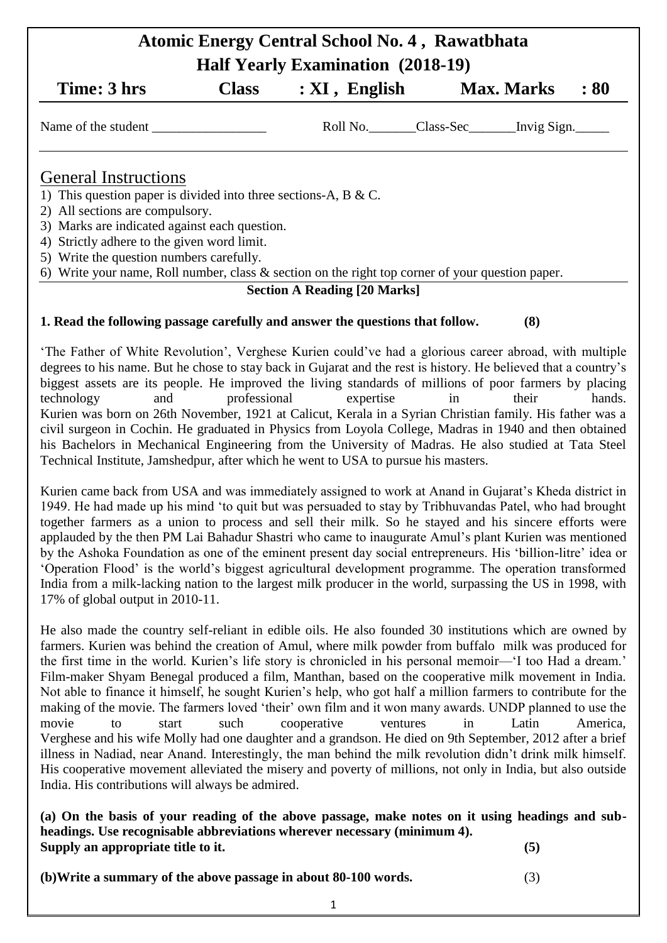## **Atomic Energy Central School No. 4 , Rawatbhata Half Yearly Examination (2018-19)**

|                                                                                                     |              | $1.441$ $1.441$ $1.441$ $1.441$ $1.441$ $1.441$ $1.441$ $1.441$ $1.441$ $1.441$ $1.441$ $1.441$ $1.441$ |                   |     |
|-----------------------------------------------------------------------------------------------------|--------------|---------------------------------------------------------------------------------------------------------|-------------------|-----|
| Time: 3 hrs                                                                                         | <b>Class</b> | $: XI$ , English                                                                                        | <b>Max. Marks</b> | :80 |
| Name of the student                                                                                 |              | Roll No. Class-Sec ______ Invig Sign.                                                                   |                   |     |
| <b>General Instructions</b>                                                                         |              |                                                                                                         |                   |     |
| 1) This question paper is divided into three sections-A, B & C.                                     |              |                                                                                                         |                   |     |
| 2) All sections are compulsory.                                                                     |              |                                                                                                         |                   |     |
| 3) Marks are indicated against each question.                                                       |              |                                                                                                         |                   |     |
| 4) Strictly adhere to the given word limit.                                                         |              |                                                                                                         |                   |     |
| 5) Write the question numbers carefully.                                                            |              |                                                                                                         |                   |     |
| 6) Write your name, Roll number, class $\&$ section on the right top corner of your question paper. |              |                                                                                                         |                   |     |

## **Section A Reading [20 Marks]**

## **1. Read the following passage carefully and answer the questions that follow. (8)**

‗The Father of White Revolution', Verghese Kurien could've had a glorious career abroad, with multiple degrees to his name. But he chose to stay back in Gujarat and the rest is history. He believed that a country's biggest assets are its people. He improved the living standards of millions of poor farmers by placing technology and professional expertise in their hands. Kurien was born on 26th November, 1921 at Calicut, Kerala in a Syrian Christian family. His father was a civil surgeon in Cochin. He graduated in Physics from Loyola College, Madras in 1940 and then obtained his Bachelors in Mechanical Engineering from the University of Madras. He also studied at Tata Steel Technical Institute, Jamshedpur, after which he went to USA to pursue his masters.

Kurien came back from USA and was immediately assigned to work at Anand in Gujarat's Kheda district in 1949. He had made up his mind ‗to quit but was persuaded to stay by Tribhuvandas Patel, who had brought together farmers as a union to process and sell their milk. So he stayed and his sincere efforts were applauded by the then PM Lai Bahadur Shastri who came to inaugurate Amul's plant Kurien was mentioned by the Ashoka Foundation as one of the eminent present day social entrepreneurs. His 'billion-litre' idea or ‗Operation Flood' is the world's biggest agricultural development programme. The operation transformed India from a milk-lacking nation to the largest milk producer in the world, surpassing the US in 1998, with 17% of global output in 2010-11.

He also made the country self-reliant in edible oils. He also founded 30 institutions which are owned by farmers. Kurien was behind the creation of Amul, where milk powder from buffalo milk was produced for the first time in the world. Kurien's life story is chronicled in his personal memoir—‗I too Had a dream.' Film-maker Shyam Benegal produced a film, Manthan, based on the cooperative milk movement in India. Not able to finance it himself, he sought Kurien's help, who got half a million farmers to contribute for the making of the movie. The farmers loved 'their' own film and it won many awards. UNDP planned to use the movie to start such cooperative ventures in Latin America, Verghese and his wife Molly had one daughter and a grandson. He died on 9th September, 2012 after a brief illness in Nadiad, near Anand. Interestingly, the man behind the milk revolution didn't drink milk himself. His cooperative movement alleviated the misery and poverty of millions, not only in India, but also outside India. His contributions will always be admired.

**(a) On the basis of your reading of the above passage, make notes on it using headings and subheadings. Use recognisable abbreviations wherever necessary (minimum 4). Supply an appropriate title to it. (5)**

**(b)Write a summary of the above passage in about 80-100 words.** (3)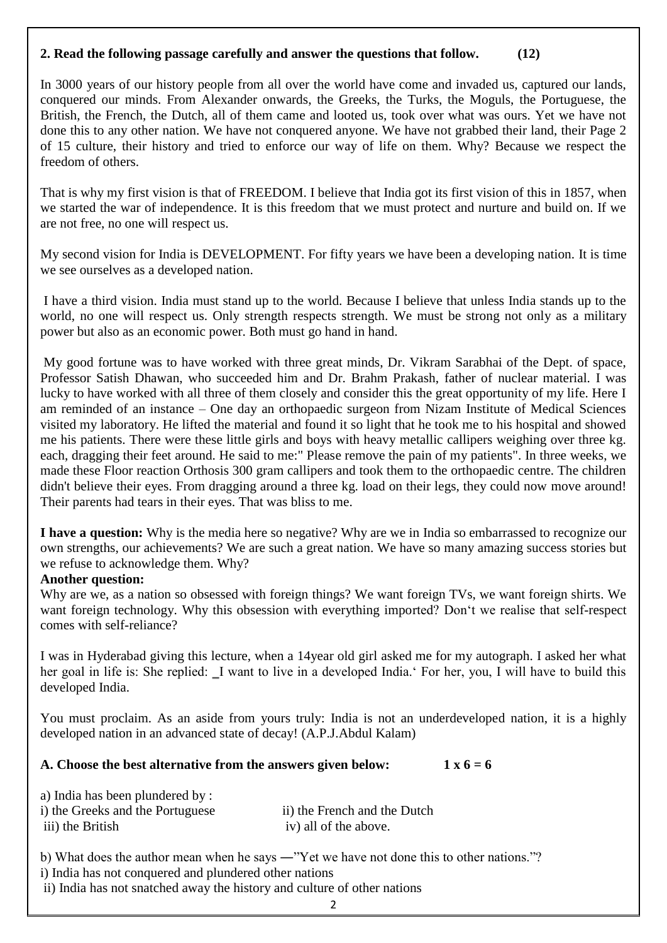## **2. Read the following passage carefully and answer the questions that follow. (12)**

In 3000 years of our history people from all over the world have come and invaded us, captured our lands, conquered our minds. From Alexander onwards, the Greeks, the Turks, the Moguls, the Portuguese, the British, the French, the Dutch, all of them came and looted us, took over what was ours. Yet we have not done this to any other nation. We have not conquered anyone. We have not grabbed their land, their Page 2 of 15 culture, their history and tried to enforce our way of life on them. Why? Because we respect the freedom of others.

That is why my first vision is that of FREEDOM. I believe that India got its first vision of this in 1857, when we started the war of independence. It is this freedom that we must protect and nurture and build on. If we are not free, no one will respect us.

My second vision for India is DEVELOPMENT. For fifty years we have been a developing nation. It is time we see ourselves as a developed nation.

I have a third vision. India must stand up to the world. Because I believe that unless India stands up to the world, no one will respect us. Only strength respects strength. We must be strong not only as a military power but also as an economic power. Both must go hand in hand.

My good fortune was to have worked with three great minds, Dr. Vikram Sarabhai of the Dept. of space, Professor Satish Dhawan, who succeeded him and Dr. Brahm Prakash, father of nuclear material. I was lucky to have worked with all three of them closely and consider this the great opportunity of my life. Here I am reminded of an instance – One day an orthopaedic surgeon from Nizam Institute of Medical Sciences visited my laboratory. He lifted the material and found it so light that he took me to his hospital and showed me his patients. There were these little girls and boys with heavy metallic callipers weighing over three kg. each, dragging their feet around. He said to me:" Please remove the pain of my patients". In three weeks, we made these Floor reaction Orthosis 300 gram callipers and took them to the orthopaedic centre. The children didn't believe their eyes. From dragging around a three kg. load on their legs, they could now move around! Their parents had tears in their eyes. That was bliss to me.

**I have a question:** Why is the media here so negative? Why are we in India so embarrassed to recognize our own strengths, our achievements? We are such a great nation. We have so many amazing success stories but we refuse to acknowledge them. Why?

#### **Another question:**

Why are we, as a nation so obsessed with foreign things? We want foreign TVs, we want foreign shirts. We want foreign technology. Why this obsession with everything imported? Don't we realise that self-respect comes with self-reliance?

I was in Hyderabad giving this lecture, when a 14year old girl asked me for my autograph. I asked her what her goal in life is: She replied: I want to live in a developed India. For her, you, I will have to build this developed India.

You must proclaim. As an aside from yours truly: India is not an underdeveloped nation, it is a highly developed nation in an advanced state of decay! (A.P.J.Abdul Kalam)

## A. Choose the best alternative from the answers given below: 1 x 6 = 6

| a) India has been plundered by:  |                              |
|----------------------------------|------------------------------|
| i) the Greeks and the Portuguese | ii) the French and the Dutch |
| iii) the British                 | iv) all of the above.        |

b) What does the author mean when he says —"Yet we have not done this to other nations."?

i) India has not conquered and plundered other nations

ii) India has not snatched away the history and culture of other nations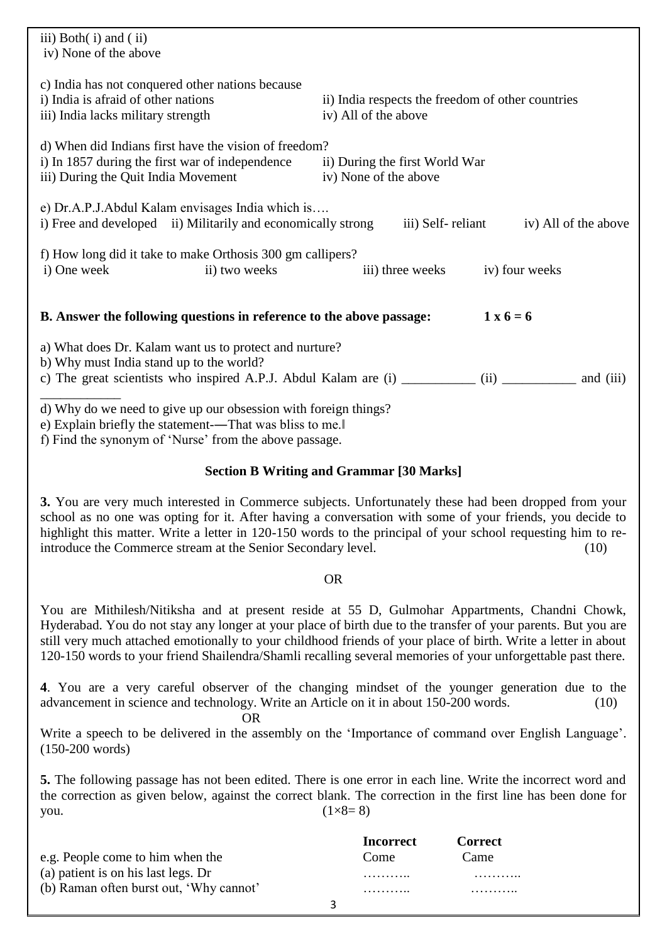| iii) Both $(i)$ and $(ii)$<br>iv) None of the above                                                                                                                                  |                                                                                                        |
|--------------------------------------------------------------------------------------------------------------------------------------------------------------------------------------|--------------------------------------------------------------------------------------------------------|
| c) India has not conquered other nations because<br>i) India is a fraid of other nations<br>iii) India lacks military strength                                                       | ii) India respects the freedom of other countries<br>iv) All of the above                              |
| d) When did Indians first have the vision of freedom?<br>i) In 1857 during the first war of independence<br>iii) During the Quit India Movement                                      | ii) During the first World War<br>iv) None of the above                                                |
| e) Dr.A.P.J.Abdul Kalam envisages India which is<br>i) Free and developed ii) Militarily and economically strong                                                                     | iii) Self-reliant<br>iv) All of the above                                                              |
| f) How long did it take to make Orthosis 300 gm callipers?<br>i) One week<br>ii) two weeks                                                                                           | iv) four weeks<br>iii) three weeks                                                                     |
| B. Answer the following questions in reference to the above passage:                                                                                                                 | $1 \times 6 = 6$                                                                                       |
| a) What does Dr. Kalam want us to protect and nurture?<br>b) Why must India stand up to the world?                                                                                   | c) The great scientists who inspired A.P.J. Abdul Kalam are (i) ___________ (ii) ___________ and (iii) |
| d) Why do we need to give up our obsession with foreign things?<br>e) Explain briefly the statement--That was bliss to me.<br>f) Find the synonym of 'Nurse' from the above passage. |                                                                                                        |

## **Section B Writing and Grammar [30 Marks]**

**3.** You are very much interested in Commerce subjects. Unfortunately these had been dropped from your school as no one was opting for it. After having a conversation with some of your friends, you decide to highlight this matter. Write a letter in 120-150 words to the principal of your school requesting him to reintroduce the Commerce stream at the Senior Secondary level. (10)

#### OR

You are Mithilesh/Nitiksha and at present reside at 55 D, Gulmohar Appartments, Chandni Chowk, Hyderabad. You do not stay any longer at your place of birth due to the transfer of your parents. But you are still very much attached emotionally to your childhood friends of your place of birth. Write a letter in about 120-150 words to your friend Shailendra/Shamli recalling several memories of your unforgettable past there.

**4**. You are a very careful observer of the changing mindset of the younger generation due to the advancement in science and technology. Write an Article on it in about 150-200 words. (10)

## OR

Write a speech to be delivered in the assembly on the 'Importance of command over English Language'. (150-200 words)

**5.** The following passage has not been edited. There is one error in each line. Write the incorrect word and the correction as given below, against the correct blank. The correction in the first line has been done for you.  $(1 \times 8 = 8)$ 

|                                         |   | <b>Incorrect</b> | Correct |
|-----------------------------------------|---|------------------|---------|
| e.g. People come to him when the        |   | Come             | Came    |
| (a) patient is on his last legs. Dr     |   | .                | .       |
| (b) Raman often burst out, 'Why cannot' |   | .                | .       |
|                                         | ર |                  |         |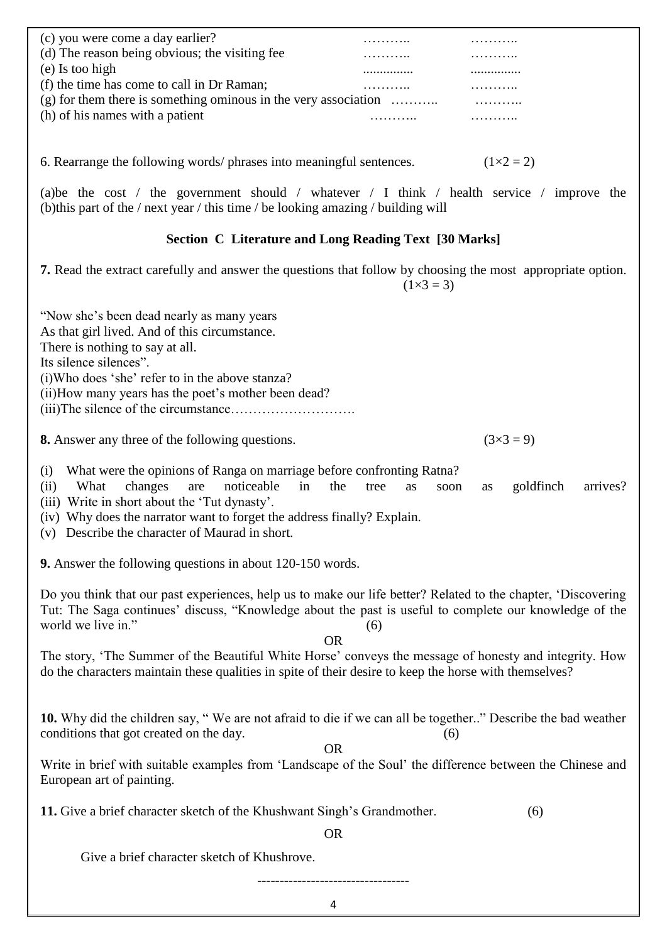| (c) you were come a day earlier?                                     |   |                |  |
|----------------------------------------------------------------------|---|----------------|--|
| (d) The reason being obvious; the visiting fee                       |   |                |  |
| $(e)$ Is too high                                                    | . |                |  |
| (f) the time has come to call in Dr Raman;                           |   |                |  |
| $(g)$ for them there is something ominous in the very association    |   | .              |  |
| (h) of his names with a patient                                      |   |                |  |
|                                                                      |   |                |  |
| 6. Rearrange the following words/ phrases into meaningful sentences. |   | $(1\times2=2)$ |  |
|                                                                      |   |                |  |

(a)be the cost / the government should / whatever / I think / health service / improve the (b)this part of the / next year / this time / be looking amazing / building will

## **Section C Literature and Long Reading Text [30 Marks]**

**7.** Read the extract carefully and answer the questions that follow by choosing the most appropriate option.  $(1\times3 = 3)$ 

"Now she's been dead nearly as many years

As that girl lived. And of this circumstance.

There is nothing to say at all.

Its silence silences".

(i)Who does 'she' refer to in the above stanza?

(ii)How many years has the poet's mother been dead?

(iii)The silence of the circumstance……………………….

**8.** Answer any three of the following questions. ( $3 \times 3 = 9$ )

(i) What were the opinions of Ranga on marriage before confronting Ratna?

- (ii) What changes are noticeable in the tree as soon as goldfinch arrives?
- (iii) Write in short about the 'Tut dynasty'.
- (iv) Why does the narrator want to forget the address finally? Explain.
- (v) Describe the character of Maurad in short.

**9.** Answer the following questions in about 120-150 words.

Do you think that our past experiences, help us to make our life better? Related to the chapter, 'Discovering Tut: The Saga continues' discuss, "Knowledge about the past is useful to complete our knowledge of the world we live in."  $(6)$ 

OR

The story, ‗The Summer of the Beautiful White Horse' conveys the message of honesty and integrity. How do the characters maintain these qualities in spite of their desire to keep the horse with themselves?

10. Why did the children say, "We are not afraid to die if we can all be together.." Describe the bad weather conditions that got created on the day. (6)

OR

Write in brief with suitable examples from 'Landscape of the Soul' the difference between the Chinese and European art of painting.

**11.** Give a brief character sketch of the Khushwant Singh's Grandmother. (6)

OR

Give a brief character sketch of Khushrove.

----------------------------------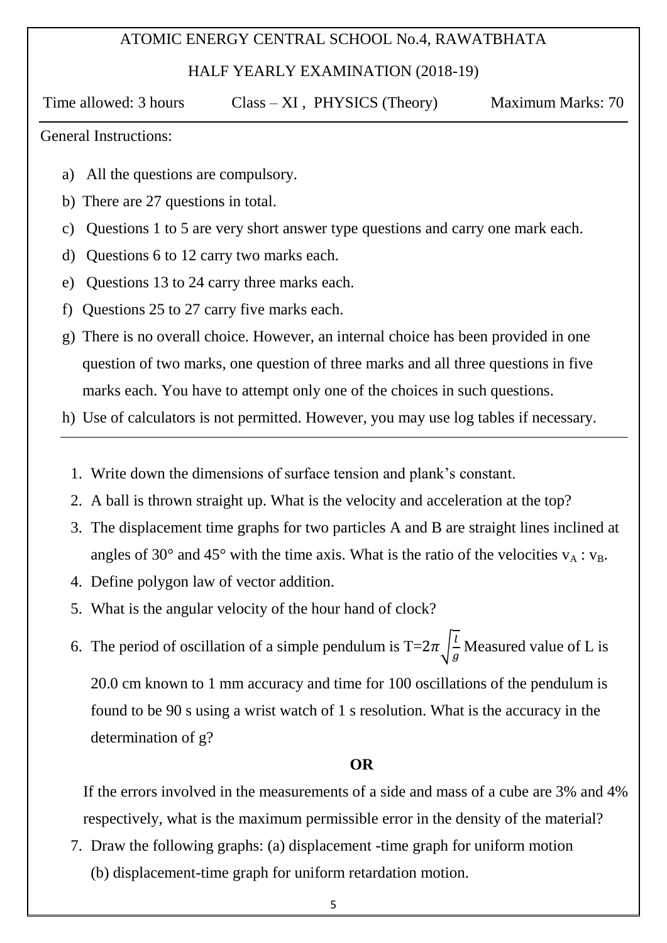## ATOMIC ENERGY CENTRAL SCHOOL No.4, RAWATBHATA

HALF YEARLY EXAMINATION (2018-19)

Time allowed: 3 hours Class – XI, PHYSICS (Theory) Maximum Marks: 70

## General Instructions:

- a) All the questions are compulsory.
- b) There are 27 questions in total.
- c) Questions 1 to 5 are very short answer type questions and carry one mark each.
- d) Questions 6 to 12 carry two marks each.
- e) Questions 13 to 24 carry three marks each.
- f) Questions 25 to 27 carry five marks each.
- g) There is no overall choice. However, an internal choice has been provided in one question of two marks, one question of three marks and all three questions in five marks each. You have to attempt only one of the choices in such questions.
- h) Use of calculators is not permitted. However, you may use log tables if necessary.
	- 1. Write down the dimensions of surface tension and plank's constant.
	- 2. A ball is thrown straight up. What is the velocity and acceleration at the top?
	- 3. The displacement time graphs for two particles A and B are straight lines inclined at angles of 30 $^{\circ}$  and 45 $^{\circ}$  with the time axis. What is the ratio of the velocities  $v_A : v_B$ .
	- 4. Define polygon law of vector addition.
	- 5. What is the angular velocity of the hour hand of clock?
	- 6. The period of oscillation of a simple pendulum is T= $2\pi \int_{0}^{1}$  $\frac{1}{g}$  Measured value of L is 20.0 cm known to 1 mm accuracy and time for 100 oscillations of the pendulum is found to be 90 s using a wrist watch of 1 s resolution. What is the accuracy in the determination of g?

## **OR**

If the errors involved in the measurements of a side and mass of a cube are 3% and 4% respectively, what is the maximum permissible error in the density of the material?

7. Draw the following graphs: (a) displacement -time graph for uniform motion (b) displacement-time graph for uniform retardation motion.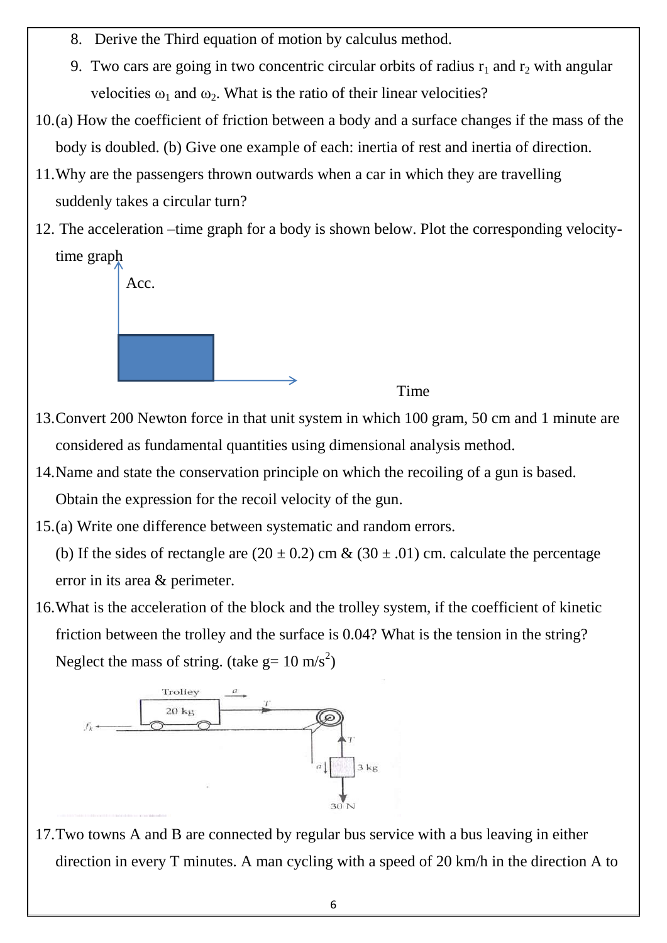- 8. Derive the Third equation of motion by calculus method.
- 9. Two cars are going in two concentric circular orbits of radius  $r_1$  and  $r_2$  with angular velocities  $\omega_1$  and  $\omega_2$ . What is the ratio of their linear velocities?
- 10.(a) How the coefficient of friction between a body and a surface changes if the mass of the body is doubled. (b) Give one example of each: inertia of rest and inertia of direction.
- 11.Why are the passengers thrown outwards when a car in which they are travelling suddenly takes a circular turn?
- 12. The acceleration –time graph for a body is shown below. Plot the corresponding velocitytime graph



- 13.Convert 200 Newton force in that unit system in which 100 gram, 50 cm and 1 minute are considered as fundamental quantities using dimensional analysis method.
- 14.Name and state the conservation principle on which the recoiling of a gun is based. Obtain the expression for the recoil velocity of the gun.
- 15.(a) Write one difference between systematic and random errors.

(b) If the sides of rectangle are  $(20 \pm 0.2)$  cm &  $(30 \pm .01)$  cm. calculate the percentage error in its area & perimeter.

16.What is the acceleration of the block and the trolley system, if the coefficient of kinetic friction between the trolley and the surface is 0.04? What is the tension in the string? Neglect the mass of string. (take  $g = 10 \text{ m/s}^2$ )



17.Two towns A and B are connected by regular bus service with a bus leaving in either direction in every T minutes. A man cycling with a speed of 20 km/h in the direction A to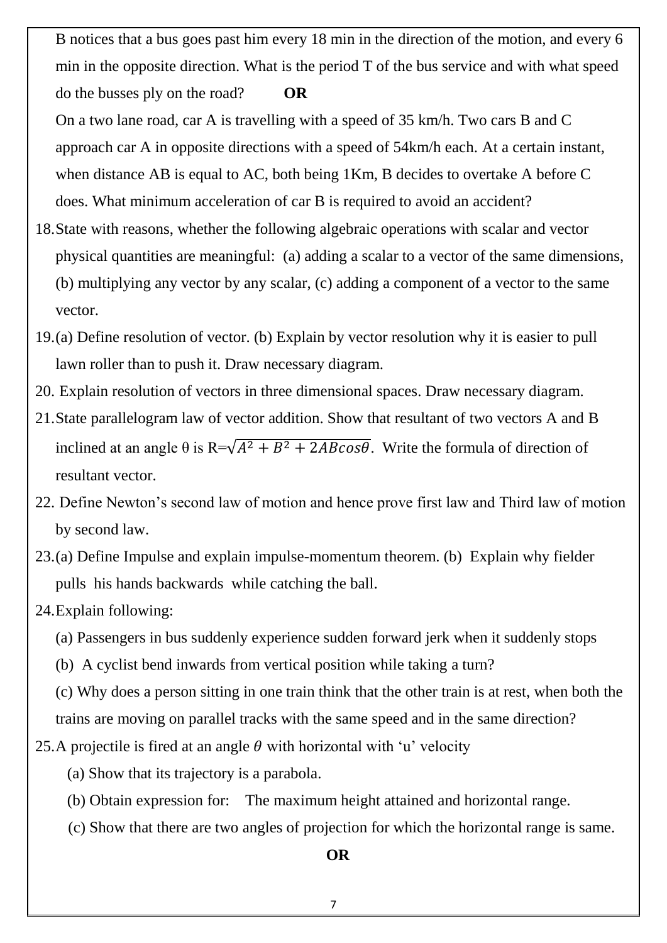B notices that a bus goes past him every 18 min in the direction of the motion, and every 6 min in the opposite direction. What is the period T of the bus service and with what speed do the busses ply on the road? **OR** 

On a two lane road, car A is travelling with a speed of 35 km/h. Two cars B and C approach car A in opposite directions with a speed of 54km/h each. At a certain instant, when distance AB is equal to AC, both being 1Km, B decides to overtake A before C does. What minimum acceleration of car B is required to avoid an accident?

- 18.State with reasons, whether the following algebraic operations with scalar and vector physical quantities are meaningful: (a) adding a scalar to a vector of the same dimensions, (b) multiplying any vector by any scalar, (c) adding a component of a vector to the same vector.
- 19.(a) Define resolution of vector. (b) Explain by vector resolution why it is easier to pull lawn roller than to push it. Draw necessary diagram.
- 20. Explain resolution of vectors in three dimensional spaces. Draw necessary diagram.
- 21.State parallelogram law of vector addition. Show that resultant of two vectors A and B inclined at an angle  $\theta$  is R= $\sqrt{A^2 + B^2 + 2AB\cos\theta}$ . Write the formula of direction of resultant vector.
- 22. Define Newton's second law of motion and hence prove first law and Third law of motion by second law.
- 23.(a) Define Impulse and explain impulse-momentum theorem. (b) Explain why fielder pulls his hands backwards while catching the ball.
- 24.Explain following:
	- (a) Passengers in bus suddenly experience sudden forward jerk when it suddenly stops
	- (b) A cyclist bend inwards from vertical position while taking a turn?

(c) Why does a person sitting in one train think that the other train is at rest, when both the trains are moving on parallel tracks with the same speed and in the same direction?

- 25.A projectile is fired at an angle  $\theta$  with horizontal with 'u' velocity
	- (a) Show that its trajectory is a parabola.
	- (b) Obtain expression for: The maximum height attained and horizontal range.
	- (c) Show that there are two angles of projection for which the horizontal range is same.

**OR**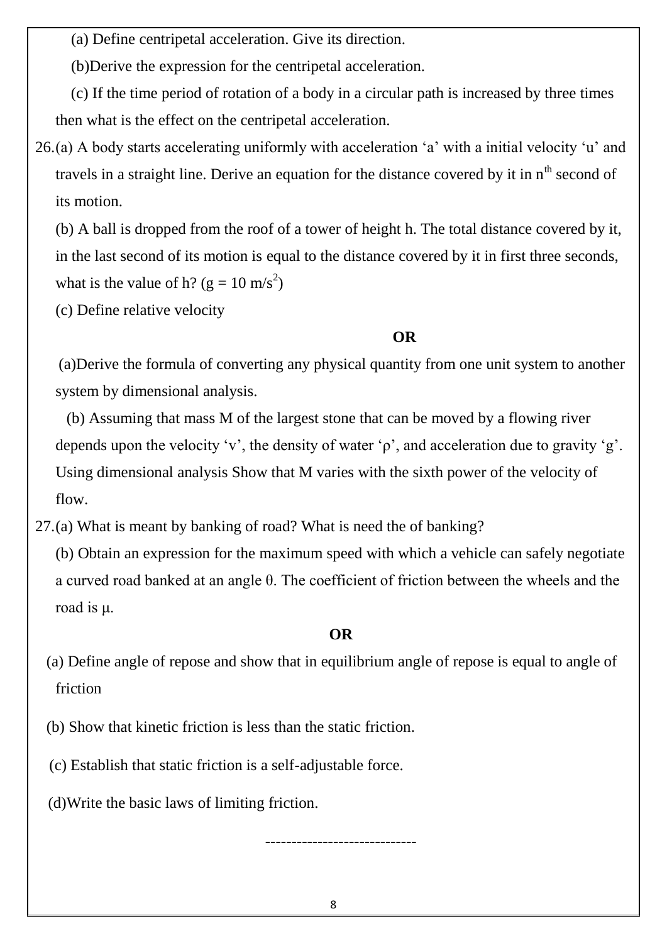(a) Define centripetal acceleration. Give its direction.

(b)Derive the expression for the centripetal acceleration.

 (c) If the time period of rotation of a body in a circular path is increased by three times then what is the effect on the centripetal acceleration.

26.(a) A body starts accelerating uniformly with acceleration 'a' with a initial velocity 'u' and travels in a straight line. Derive an equation for the distance covered by it in  $n<sup>th</sup>$  second of its motion.

(b) A ball is dropped from the roof of a tower of height h. The total distance covered by it, in the last second of its motion is equal to the distance covered by it in first three seconds, what is the value of h? ( $g = 10 \text{ m/s}^2$ )

(c) Define relative velocity

## **OR**

 (a)Derive the formula of converting any physical quantity from one unit system to another system by dimensional analysis.

 (b) Assuming that mass M of the largest stone that can be moved by a flowing river depends upon the velocity 'v', the density of water ' $\rho$ ', and acceleration due to gravity 'g'. Using dimensional analysis Show that M varies with the sixth power of the velocity of flow.

27.(a) What is meant by banking of road? What is need the of banking?

(b) Obtain an expression for the maximum speed with which a vehicle can safely negotiate a curved road banked at an angle θ. The coefficient of friction between the wheels and the road is μ.

## **OR**

 (a) Define angle of repose and show that in equilibrium angle of repose is equal to angle of friction

- (b) Show that kinetic friction is less than the static friction.
- (c) Establish that static friction is a self-adjustable force.

(d)Write the basic laws of limiting friction.

-----------------------------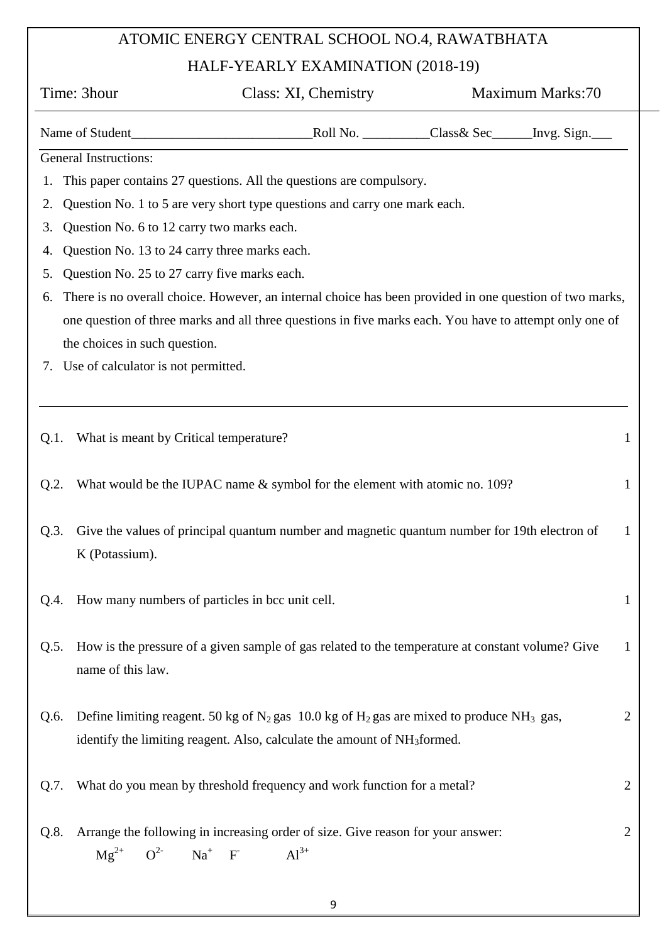# ATOMIC ENERGY CENTRAL SCHOOL NO.4, RAWATBHATA

## HALF-YEARLY EXAMINATION (2018-19)

|         | Time: 3hour                                          | Class: XI, Chemistry                                                                                       | Maximum Marks:70                                                                                        |              |
|---------|------------------------------------------------------|------------------------------------------------------------------------------------------------------------|---------------------------------------------------------------------------------------------------------|--------------|
|         |                                                      |                                                                                                            | Name of Student<br><u>Roll No. Class&amp; Sec</u> _____ Invg. Sign.                                     |              |
|         | <b>General Instructions:</b>                         |                                                                                                            |                                                                                                         |              |
| 1.      |                                                      | This paper contains 27 questions. All the questions are compulsory.                                        |                                                                                                         |              |
| 2.      |                                                      | Question No. 1 to 5 are very short type questions and carry one mark each.                                 |                                                                                                         |              |
| 3.      | Question No. 6 to 12 carry two marks each.           |                                                                                                            |                                                                                                         |              |
| 4.      | Question No. 13 to 24 carry three marks each.        |                                                                                                            |                                                                                                         |              |
| 5.      | Question No. 25 to 27 carry five marks each.         |                                                                                                            |                                                                                                         |              |
| 6.      |                                                      |                                                                                                            | There is no overall choice. However, an internal choice has been provided in one question of two marks, |              |
|         |                                                      |                                                                                                            | one question of three marks and all three questions in five marks each. You have to attempt only one of |              |
|         | the choices in such question.                        |                                                                                                            |                                                                                                         |              |
|         | 7. Use of calculator is not permitted.               |                                                                                                            |                                                                                                         |              |
|         |                                                      |                                                                                                            |                                                                                                         |              |
|         |                                                      |                                                                                                            |                                                                                                         |              |
| Q.1.    | What is meant by Critical temperature?               |                                                                                                            |                                                                                                         | 1            |
|         |                                                      |                                                                                                            |                                                                                                         |              |
| $Q.2$ . |                                                      | What would be the IUPAC name & symbol for the element with atomic no. 109?                                 |                                                                                                         | 1            |
|         |                                                      |                                                                                                            |                                                                                                         |              |
| Q.3.    |                                                      |                                                                                                            | Give the values of principal quantum number and magnetic quantum number for 19th electron of            | $\mathbf{1}$ |
|         | K (Potassium).                                       |                                                                                                            |                                                                                                         |              |
|         |                                                      |                                                                                                            |                                                                                                         |              |
|         | Q.4. How many numbers of particles in bcc unit cell. |                                                                                                            |                                                                                                         | $\mathbf{1}$ |
|         |                                                      |                                                                                                            |                                                                                                         |              |
| Q.5.    |                                                      |                                                                                                            | How is the pressure of a given sample of gas related to the temperature at constant volume? Give        | 1            |
|         | name of this law.                                    |                                                                                                            |                                                                                                         |              |
|         |                                                      |                                                                                                            |                                                                                                         |              |
| Q.6.    |                                                      | Define limiting reagent. 50 kg of $N_2$ gas 10.0 kg of $H_2$ gas are mixed to produce NH <sub>3</sub> gas, |                                                                                                         | 2            |
|         |                                                      | identify the limiting reagent. Also, calculate the amount of NH <sub>3</sub> formed.                       |                                                                                                         |              |
|         |                                                      |                                                                                                            |                                                                                                         |              |
| Q.7.    |                                                      | What do you mean by threshold frequency and work function for a metal?                                     |                                                                                                         | 2            |
|         |                                                      |                                                                                                            |                                                                                                         |              |
| Q.8.    |                                                      | Arrange the following in increasing order of size. Give reason for your answer:                            |                                                                                                         | 2            |
|         | $Mg^{2+}$ $Q^{2-}$ $Na^{+}$ F                        | $Al^{3+}$                                                                                                  |                                                                                                         |              |
|         |                                                      |                                                                                                            |                                                                                                         |              |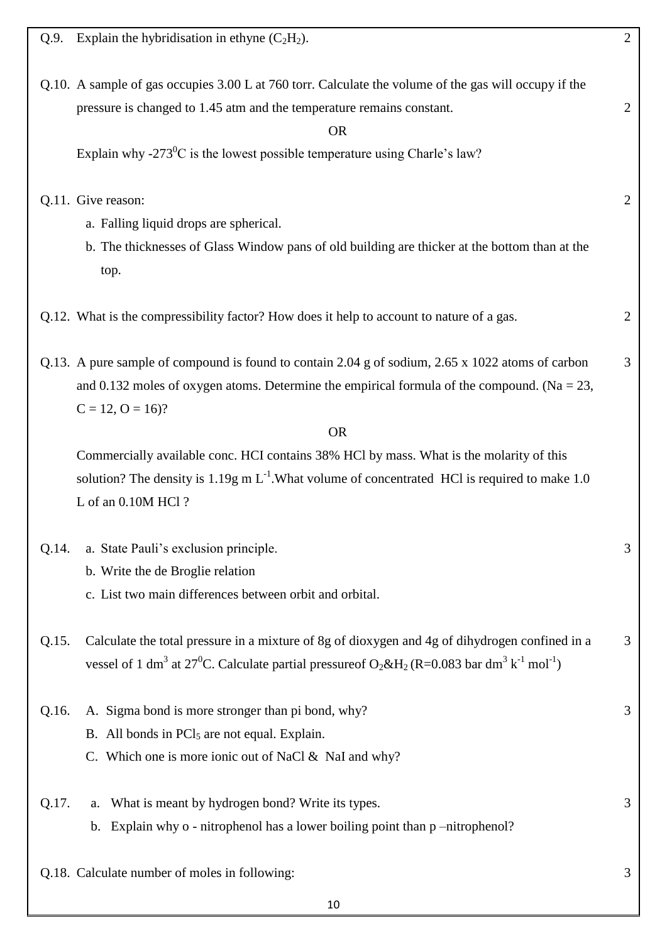| Explain the hybridisation in ethyne $(C_2H_2)$ .<br>Q.9.                                                                                                                                                                                                           | $\overline{2}$ |
|--------------------------------------------------------------------------------------------------------------------------------------------------------------------------------------------------------------------------------------------------------------------|----------------|
| Q.10. A sample of gas occupies 3.00 L at 760 torr. Calculate the volume of the gas will occupy if the<br>pressure is changed to 1.45 atm and the temperature remains constant.<br><b>OR</b>                                                                        | $\mathbf{2}$   |
| Explain why -273 <sup>0</sup> C is the lowest possible temperature using Charle's law?                                                                                                                                                                             |                |
| Q.11. Give reason:<br>a. Falling liquid drops are spherical.<br>b. The thicknesses of Glass Window pans of old building are thicker at the bottom than at the                                                                                                      | $\overline{2}$ |
| top.                                                                                                                                                                                                                                                               |                |
| Q.12. What is the compressibility factor? How does it help to account to nature of a gas.                                                                                                                                                                          | $\overline{2}$ |
| Q.13. A pure sample of compound is found to contain 2.04 g of sodium, 2.65 x 1022 atoms of carbon<br>and 0.132 moles of oxygen atoms. Determine the empirical formula of the compound. (Na = $23$ ,<br>$C = 12$ , $O = 16$ ?                                       | 3              |
| <b>OR</b>                                                                                                                                                                                                                                                          |                |
| Commercially available conc. HCI contains 38% HCl by mass. What is the molarity of this<br>solution? The density is 1.19g m $L^{-1}$ . What volume of concentrated HCl is required to make 1.0<br>L of an 0.10M HCl?                                               |                |
| a. State Pauli's exclusion principle.<br>Q.14.<br>b. Write the de Broglie relation<br>c. List two main differences between orbit and orbital.                                                                                                                      | 3              |
| Calculate the total pressure in a mixture of 8g of dioxygen and 4g of dihydrogen confined in a<br>Q.15.<br>vessel of 1 dm <sup>3</sup> at 27 <sup>0</sup> C. Calculate partial pressure of $O_2 \& H_2 (R=0.083 \text{ bar dm}^3 \text{ k}^{-1} \text{ mol}^{-1})$ | 3              |
| A. Sigma bond is more stronger than pi bond, why?<br>Q.16.<br>B. All bonds in PCl <sub>5</sub> are not equal. Explain.<br>C. Which one is more ionic out of NaCl & NaI and why?                                                                                    | 3              |
| Q.17.<br>What is meant by hydrogen bond? Write its types.<br>a.<br>Explain why $o$ - nitrophenol has a lower boiling point than $p$ -nitrophenol?<br>$\mathbf{b}$ .                                                                                                | 3              |
| Q.18. Calculate number of moles in following:                                                                                                                                                                                                                      | 3              |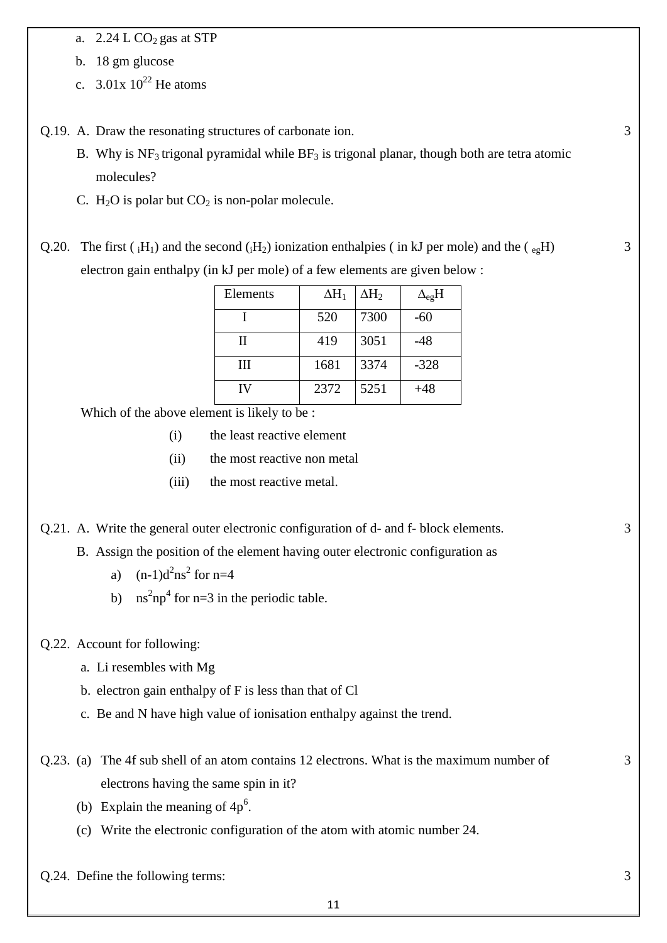a.  $2.24$  L CO<sub>2</sub> gas at STP

b. 18 gm glucose

- c.  $3.01x \frac{10^{22}}{10}$  He atoms
- Q.19. A. Draw the resonating structures of carbonate ion.
	- B. Why is  $NF_3$  trigonal pyramidal while  $BF_3$  is trigonal planar, though both are tetra atomic molecules?
	- C.  $H_2O$  is polar but  $CO_2$  is non-polar molecule.

Q.20. The first ( $_iH_1$ ) and the second ( $_iH_2$ ) ionization enthalpies (in kJ per mole) and the ( $_{eg}H$ ) electron gain enthalpy (in kJ per mole) of a few elements are given below :

| Elements | $\Delta H_1$ | $\Delta \rm{H}_{2}$ | $\Delta_{\rm eg} H$ |
|----------|--------------|---------------------|---------------------|
|          | 520          | 7300                | -60                 |
| Н        | 419          | 3051                | -48                 |
| Ш        | 1681         | 3374                | $-328$              |
| IV       | 2372         | 5251                | $+48$               |

Which of the above element is likely to be :

- (i) the least reactive element
- (ii) the most reactive non metal
- (iii) the most reactive metal.

Q.21. A. Write the general outer electronic configuration of d- and f- block elements.

- B. Assign the position of the element having outer electronic configuration as
	- a)  $(n-1)d^2ns^2$  for  $n=4$
	- b) ns<sup>2</sup>np<sup>4</sup> for n=3 in the periodic table.

#### Q.22. Account for following:

- a. Li resembles with Mg
- b. electron gain enthalpy of F is less than that of Cl
- c. Be and N have high value of ionisation enthalpy against the trend.
- Q.23. (a) The 4f sub shell of an atom contains 12 electrons. What is the maximum number of electrons having the same spin in it?
	- (b) Explain the meaning of  $4p^6$ .
	- (c) Write the electronic configuration of the atom with atomic number 24.

Q.24. Define the following terms: 3

3

3

3

3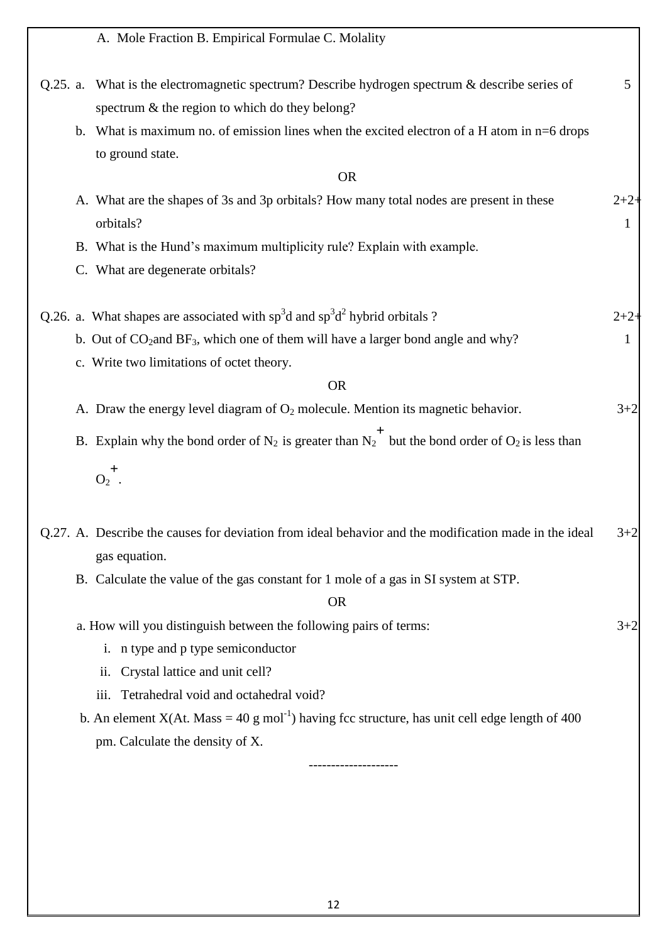|                                  | A. Mole Fraction B. Empirical Formulae C. Molality                                                                                                  |            |
|----------------------------------|-----------------------------------------------------------------------------------------------------------------------------------------------------|------------|
|                                  | Q.25. a. What is the electromagnetic spectrum? Describe hydrogen spectrum $\&$ describe series of<br>spectrum & the region to which do they belong? | 5          |
|                                  | b. What is maximum no. of emission lines when the excited electron of a H atom in $n=6$ drops                                                       |            |
| to ground state.                 |                                                                                                                                                     |            |
|                                  | <b>OR</b>                                                                                                                                           |            |
| orbitals?                        | A. What are the shapes of 3s and 3p orbitals? How many total nodes are present in these                                                             | $2+2$<br>1 |
|                                  | B. What is the Hund's maximum multiplicity rule? Explain with example.                                                                              |            |
| C. What are degenerate orbitals? |                                                                                                                                                     |            |
|                                  | Q.26. a. What shapes are associated with $sp^3d$ and $sp^3d^2$ hybrid orbitals ?                                                                    | $2 + 2$    |
|                                  | b. Out of $CO_2$ and $BF_3$ , which one of them will have a larger bond angle and why?                                                              | 1          |
|                                  | c. Write two limitations of octet theory.                                                                                                           |            |
|                                  | <b>OR</b>                                                                                                                                           |            |
|                                  | A. Draw the energy level diagram of $O_2$ molecule. Mention its magnetic behavior.                                                                  | $3 + 2$    |
|                                  | B. Explain why the bond order of N <sub>2</sub> is greater than N <sub>2</sub> <sup>+</sup> but the bond order of O <sub>2</sub> is less than       |            |
| $O_2^+$ .                        |                                                                                                                                                     |            |
| gas equation.                    | Q.27. A. Describe the causes for deviation from ideal behavior and the modification made in the ideal                                               | $3 + 2$    |
|                                  | B. Calculate the value of the gas constant for 1 mole of a gas in SI system at STP.                                                                 |            |
|                                  | <b>OR</b>                                                                                                                                           |            |
|                                  | a. How will you distinguish between the following pairs of terms:                                                                                   | $3+2$      |
|                                  | i. n type and p type semiconductor                                                                                                                  |            |
| ii.                              | Crystal lattice and unit cell?                                                                                                                      |            |
| iii.                             | Tetrahedral void and octahedral void?                                                                                                               |            |
|                                  | b. An element $X(At. Mass = 40 g mol-1)$ having fcc structure, has unit cell edge length of 400                                                     |            |
|                                  | pm. Calculate the density of X.                                                                                                                     |            |
|                                  |                                                                                                                                                     |            |
|                                  |                                                                                                                                                     |            |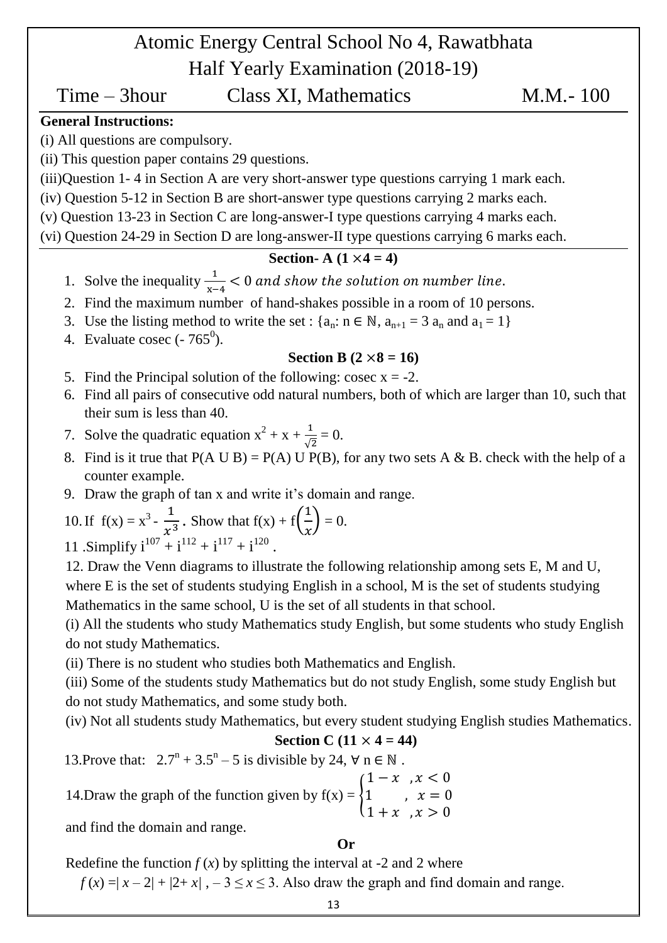# Atomic Energy Central School No 4, Rawatbhata Half Yearly Examination (2018-19)

## Time – 3hour Class XI, Mathematics M.M.- 100

## **General Instructions:**

(i) All questions are compulsory.

(ii) This question paper contains 29 questions.

(iii)Question 1- 4 in Section A are very short-answer type questions carrying 1 mark each.

(iv) Question 5-12 in Section B are short-answer type questions carrying 2 marks each.

(v) Question 13-23 in Section C are long-answer-I type questions carrying 4 marks each.

(vi) Question 24-29 in Section D are long-answer-II type questions carrying 6 marks each.

## **Section- A**  $(1 \times 4 = 4)$

- 1. Solve the inequality  $\frac{1}{x-4}$  <
- 2. Find the maximum number of hand-shakes possible in a room of 10 persons.
- 3. Use the listing method to write the set :  $\{a_n : n \in \mathbb{N}, a_{n+1} = 3 \}$ , and  $a_1 = 1$
- 4. Evaluate cosec  $(-765^0)$ .

## **Section B**  $(2 \times 8 = 16)$

- 5. Find the Principal solution of the following: cosec  $x = -2$ .
- 6. Find all pairs of consecutive odd natural numbers, both of which are larger than 10, such that their sum is less than 40.
- 7. Solve the quadratic equation  $x^2 + x + \frac{1}{6}$  $\frac{1}{\sqrt{2}} = 0.$
- 8. Find is it true that  $P(A \cup B) = P(A) \cup P(B)$ , for any two sets A & B. check with the help of a counter example.
- 9. Draw the graph of tan x and write it's domain and range.

10. If 
$$
f(x) = x^3 - \frac{1}{x^3}
$$
. Show that  $f(x) + f(\frac{1}{x}) = 0$ .  
11. Simplify  $i^{107} + i^{112} + i^{117} + i^{120}$ .

12. Draw the Venn diagrams to illustrate the following relationship among sets E, M and U, where E is the set of students studying English in a school, M is the set of students studying Mathematics in the same school, U is the set of all students in that school.

(i) All the students who study Mathematics study English, but some students who study English do not study Mathematics.

(ii) There is no student who studies both Mathematics and English.

(iii) Some of the students study Mathematics but do not study English, some study English but do not study Mathematics, and some study both.

(iv) Not all students study Mathematics, but every student studying English studies Mathematics.

## **Section C** (11  $\times$  4 = 44)

13. Prove that:  $2.7^n + 3.5^n - 5$  is divisible by 24,  $\forall$  n  $\in \mathbb{N}$ .

14.Draw the graph of the function given by  $f(x) = \{1\}$  $(1-x)$  ,  $x < 0$  $\mathbf{1}$ 

and find the domain and range.

## **Or**

Redefine the function  $f(x)$  by splitting the interval at -2 and 2 where

 $f(x) = |x-2| + |2+x|$ ,  $-3 \le x \le 3$ . Also draw the graph and find domain and range.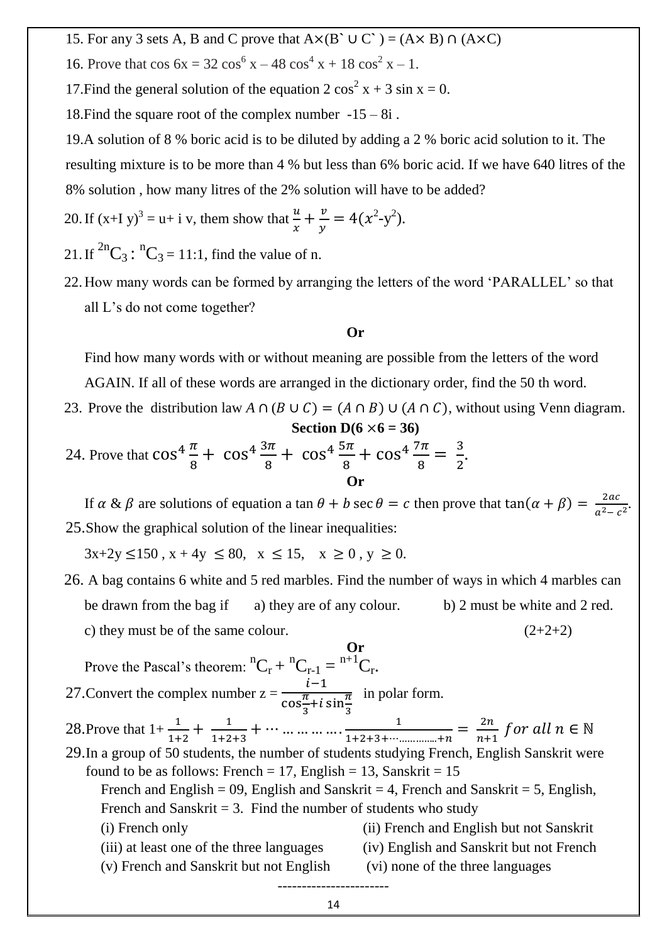- 15. For any 3 sets A, B and C prove that  $A \times (B \cup C) = (A \times B) \cap (A \times C)$
- 16. Prove that  $\cos 6x = 32 \cos^6 x 48 \cos^4 x + 18 \cos^2 x 1$ .
- 17. Find the general solution of the equation 2  $\cos^2 x + 3 \sin x = 0$ .

18. Find the square root of the complex number  $-15 - 8i$ .

19.A solution of 8 % boric acid is to be diluted by adding a 2 % boric acid solution to it. The resulting mixture is to be more than 4 % but less than 6% boric acid. If we have 640 litres of the 8% solution , how many litres of the 2% solution will have to be added?

20. If 
$$
(x+I y)^3 = u + i v
$$
, them show that  $\frac{u}{x} + \frac{v}{y} = 4(x^2-y^2)$ .

- 21. If  ${}^{2n}C_3$ :  ${}^{n}C_3 = 11:1$ , find the value of n.
- 22. How many words can be formed by arranging the letters of the word 'PARALLEL' so that all L's do not come together?

#### **Or**

Find how many words with or without meaning are possible from the letters of the word AGAIN. If all of these words are arranged in the dictionary order, find the 50 th word.

- 23. Prove the distribution law  $A \cap (B \cup C) = (A \cap B) \cup (A \cap C)$ , without using Venn diagram. **Section D(6**  $\times$  **6 = 36)**
- 24. Prove that  $\cos^4 \frac{\pi}{8} + \cos^4 \frac{3}{8}$  $\frac{3\pi}{8}$  +  $\cos^4\frac{5}{8}$  $\frac{5\pi}{8}$  +  $\cos^4\frac{7}{8}$  $\frac{7\pi}{8} = \frac{3}{2}$  $\frac{5}{2}$ . **Or**

If  $\alpha \& \beta$  are solutions of equation a tan  $\theta + b$  sec  $\theta = c$  then prove that tan $(\alpha + \beta) = \frac{2}{\sqrt{3}}$  $\frac{2ac}{a^2-c^2}$ . 25.Show the graphical solution of the linear inequalities:

 $3x+2y \le 150$ ,  $x + 4y \le 80$ ,  $x \le 15$ ,  $x \ge 0$ ,  $y \ge 0$ .

26. A bag contains 6 white and 5 red marbles. Find the number of ways in which 4 marbles can be drawn from the bag if a) they are of any colour. b) 2 must be white and 2 red. c) they must be of the same colour.  $(2+2+2)$ 

**Or** Prove the Pascal's theorem:  ${}^{n}C_{r} + {}^{n}C_{r-1} = {}^{n+1}C_{r}$ . 27. Convert the complex number  $z = \frac{i}{\pi}$  $\cos\frac{\pi}{2}$  $\frac{\pi}{3}$ +*i* sin $\frac{\pi}{3}$  in polar form. 28. Prove that  $1+\frac{1}{1+2}+\frac{1}{1+2}$  $\frac{1}{1+2+3} + \cdots \dots \dots \dots \dots \dots \dots \dots \dots \dots \dots \dots \dots \dots$  $\frac{1}{1+2+3+\cdots+\n}{n} = \frac{2}{n}$  $rac{2\pi}{n+1}f$ 29.In a group of 50 students, the number of students studying French, English Sanskrit were found to be as follows: French = 17, English = 13, Sanskrit = 15 French and English = 09, English and Sanskrit = 4, French and Sanskrit = 5, English, French and Sanskrit  $= 3$ . Find the number of students who study (i) French only (ii) French and English but not Sanskrit (iii) at least one of the three languages (iv) English and Sanskrit but not French (v) French and Sanskrit but not English (vi) none of the three languages -----------------------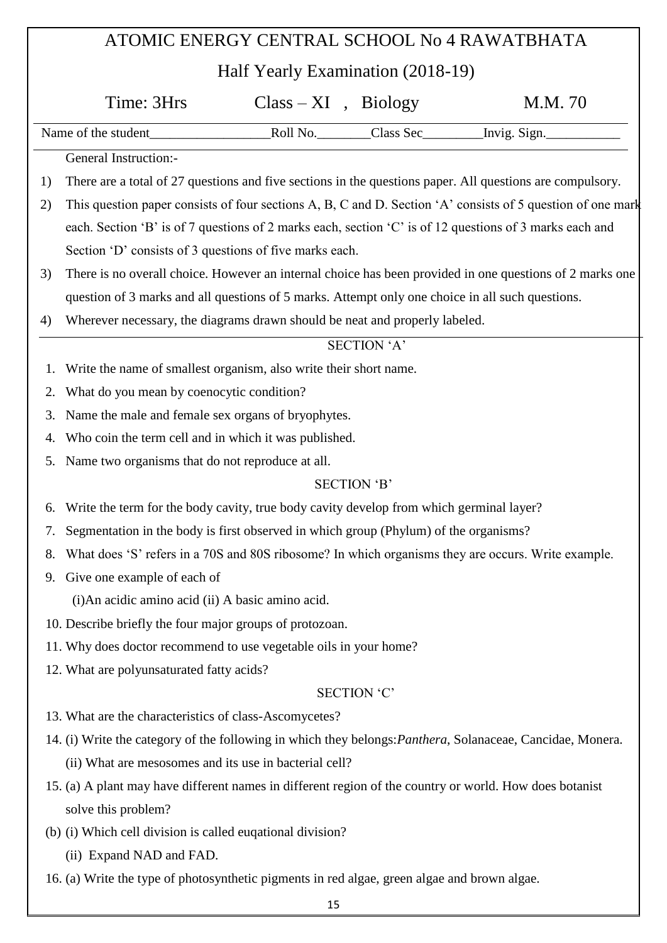# ATOMIC ENERGY CENTRAL SCHOOL No 4 RAWATBHATA Half Yearly Examination (2018-19) Time: 3Hrs Class – XI, Biology M.M. 70 Name of the student Theorem Class Sec This is not invig. Sign. General Instruction:- 1) There are a total of 27 questions and five sections in the questions paper. All questions are compulsory. 2) This question paper consists of four sections A, B, C and D. Section  $A'$  consists of 5 question of one mark each. Section 'B' is of 7 questions of 2 marks each, section 'C' is of 12 questions of 3 marks each and Section 'D' consists of 3 questions of five marks each. 3) There is no overall choice. However an internal choice has been provided in one questions of 2 marks one question of 3 marks and all questions of 5 marks. Attempt only one choice in all such questions. 4) Wherever necessary, the diagrams drawn should be neat and properly labeled. SECTION 'A' 1. Write the name of smallest organism, also write their short name. 2. What do you mean by coenocytic condition? 3. Name the male and female sex organs of bryophytes. 4. Who coin the term cell and in which it was published. 5. Name two organisms that do not reproduce at all. SECTION 'B' 6. Write the term for the body cavity, true body cavity develop from which germinal layer? 7. Segmentation in the body is first observed in which group (Phylum) of the organisms? 8. What does 'S' refers in a 70S and 80S ribosome? In which organisms they are occurs. Write example. 9. Give one example of each of (i)An acidic amino acid (ii) A basic amino acid. 10. Describe briefly the four major groups of protozoan. 11. Why does doctor recommend to use vegetable oils in your home? 12. What are polyunsaturated fatty acids? SECTION 'C' 13. What are the characteristics of class-Ascomycetes? 14. (i) Write the category of the following in which they belongs:*Panthera*, Solanaceae, Cancidae, Monera. (ii) What are mesosomes and its use in bacterial cell? 15. (a) A plant may have different names in different region of the country or world. How does botanist solve this problem? (b) (i) Which cell division is called euqational division? (ii) Expand NAD and FAD.

16. (a) Write the type of photosynthetic pigments in red algae, green algae and brown algae.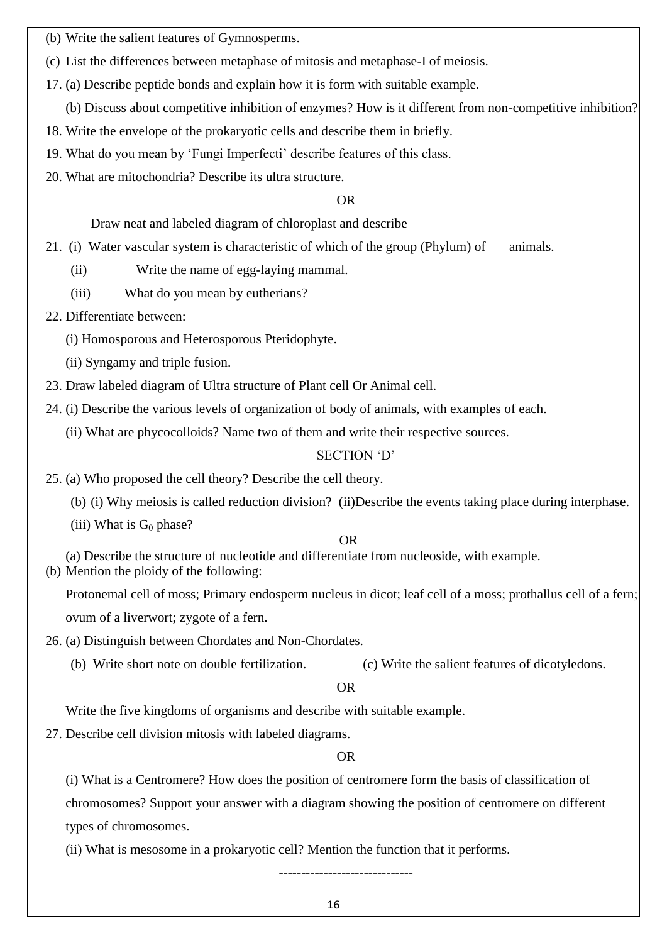- (b) Write the salient features of Gymnosperms.
- (c) List the differences between metaphase of mitosis and metaphase-I of meiosis.
- 17. (a) Describe peptide bonds and explain how it is form with suitable example.
	- (b) Discuss about competitive inhibition of enzymes? How is it different from non-competitive inhibition?
- 18. Write the envelope of the prokaryotic cells and describe them in briefly.
- 19. What do you mean by 'Fungi Imperfecti' describe features of this class.
- 20. What are mitochondria? Describe its ultra structure.

#### OR

Draw neat and labeled diagram of chloroplast and describe

- 21. (i) Water vascular system is characteristic of which of the group (Phylum) of animals.
	- (ii) Write the name of egg-laying mammal.
	- (iii) What do you mean by eutherians?
- 22. Differentiate between:
	- (i) Homosporous and Heterosporous Pteridophyte.
	- (ii) Syngamy and triple fusion.
- 23. Draw labeled diagram of Ultra structure of Plant cell Or Animal cell.
- 24. (i) Describe the various levels of organization of body of animals, with examples of each.
	- (ii) What are phycocolloids? Name two of them and write their respective sources.

#### SECTION 'D'

- 25. (a) Who proposed the cell theory? Describe the cell theory.
	- (b) (i) Why meiosis is called reduction division? (ii)Describe the events taking place during interphase.
	- (iii) What is  $G_0$  phase?

#### OR

- (a) Describe the structure of nucleotide and differentiate from nucleoside, with example.
- (b) Mention the ploidy of the following:

Protonemal cell of moss; Primary endosperm nucleus in dicot; leaf cell of a moss; prothallus cell of a fern; ovum of a liverwort; zygote of a fern.

- 26. (a) Distinguish between Chordates and Non-Chordates.
	- (b) Write short note on double fertilization. (c) Write the salient features of dicotyledons.

## OR

Write the five kingdoms of organisms and describe with suitable example.

27. Describe cell division mitosis with labeled diagrams.

#### OR

(i) What is a Centromere? How does the position of centromere form the basis of classification of

chromosomes? Support your answer with a diagram showing the position of centromere on different types of chromosomes.

(ii) What is mesosome in a prokaryotic cell? Mention the function that it performs.

------------------------------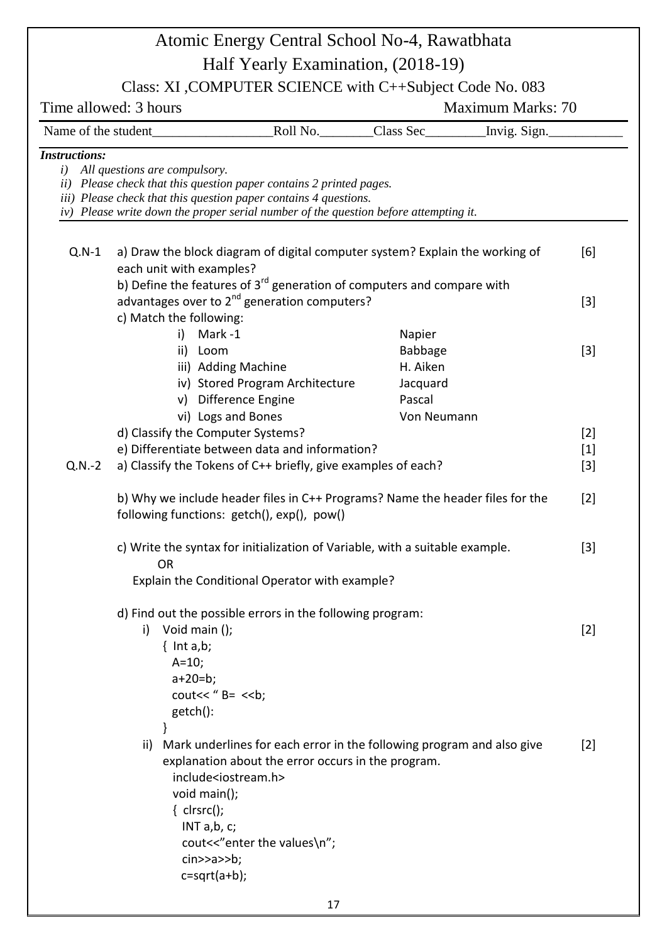|                      | Atomic Energy Central School No-4, Rawatbhata                                                                                                                                                                                                                                                                                                                 |                                                            |                   |                         |
|----------------------|---------------------------------------------------------------------------------------------------------------------------------------------------------------------------------------------------------------------------------------------------------------------------------------------------------------------------------------------------------------|------------------------------------------------------------|-------------------|-------------------------|
|                      | Half Yearly Examination, (2018-19)                                                                                                                                                                                                                                                                                                                            |                                                            |                   |                         |
|                      | Class: XI, COMPUTER SCIENCE with C++Subject Code No. 083                                                                                                                                                                                                                                                                                                      |                                                            |                   |                         |
|                      | Time allowed: 3 hours                                                                                                                                                                                                                                                                                                                                         |                                                            | Maximum Marks: 70 |                         |
|                      |                                                                                                                                                                                                                                                                                                                                                               |                                                            |                   |                         |
| <b>Instructions:</b> |                                                                                                                                                                                                                                                                                                                                                               |                                                            |                   |                         |
|                      | <i>i</i> ) All questions are compulsory.<br>ii) Please check that this question paper contains 2 printed pages.<br>iii) Please check that this question paper contains 4 questions.<br>iv) Please write down the proper serial number of the question before attempting it.                                                                                   |                                                            |                   |                         |
| $Q.N-1$              | a) Draw the block diagram of digital computer system? Explain the working of<br>each unit with examples?                                                                                                                                                                                                                                                      |                                                            |                   | [6]                     |
|                      | b) Define the features of 3 <sup>rd</sup> generation of computers and compare with<br>advantages over to $2^{nd}$ generation computers?<br>c) Match the following:                                                                                                                                                                                            |                                                            |                   | $[3]$                   |
|                      | i)<br>Mark-1<br>ii) Loom<br>iii) Adding Machine<br>iv) Stored Program Architecture<br>v) Difference Engine                                                                                                                                                                                                                                                    | Napier<br><b>Babbage</b><br>H. Aiken<br>Jacquard<br>Pascal |                   | $[3]$                   |
| $Q.N.-2$             | vi) Logs and Bones<br>d) Classify the Computer Systems?<br>e) Differentiate between data and information?<br>a) Classify the Tokens of C++ briefly, give examples of each?                                                                                                                                                                                    | Von Neumann                                                |                   | $[2]$<br>$[1]$<br>$[3]$ |
|                      | b) Why we include header files in C++ Programs? Name the header files for the<br>following functions: getch(), exp(), pow()                                                                                                                                                                                                                                   |                                                            |                   | $[2]$                   |
|                      | c) Write the syntax for initialization of Variable, with a suitable example.<br><b>OR</b><br>Explain the Conditional Operator with example?                                                                                                                                                                                                                   |                                                            |                   | $\lceil 3 \rceil$       |
|                      | d) Find out the possible errors in the following program:<br>i) Void main $()$ ;<br>$\{$ Int a,b;<br>$A=10;$<br>$a+20=b;$<br>cout << " $B = \langle$ < b;<br>getch():                                                                                                                                                                                         |                                                            |                   | $[2]$                   |
|                      | Mark underlines for each error in the following program and also give<br>ii)<br>explanation about the error occurs in the program.<br>include <iostream.h><br/>void main();<br/><math>\{</math> clrsrc();<br/>INT <math>a,b, c;</math><br/>cout&lt;&lt;"enter the values\n";<br/><math>cin \geq a \geq b</math>;<br/><math>c = sqrt(a+b);</math></iostream.h> |                                                            |                   | $[2]$                   |
|                      | 17                                                                                                                                                                                                                                                                                                                                                            |                                                            |                   |                         |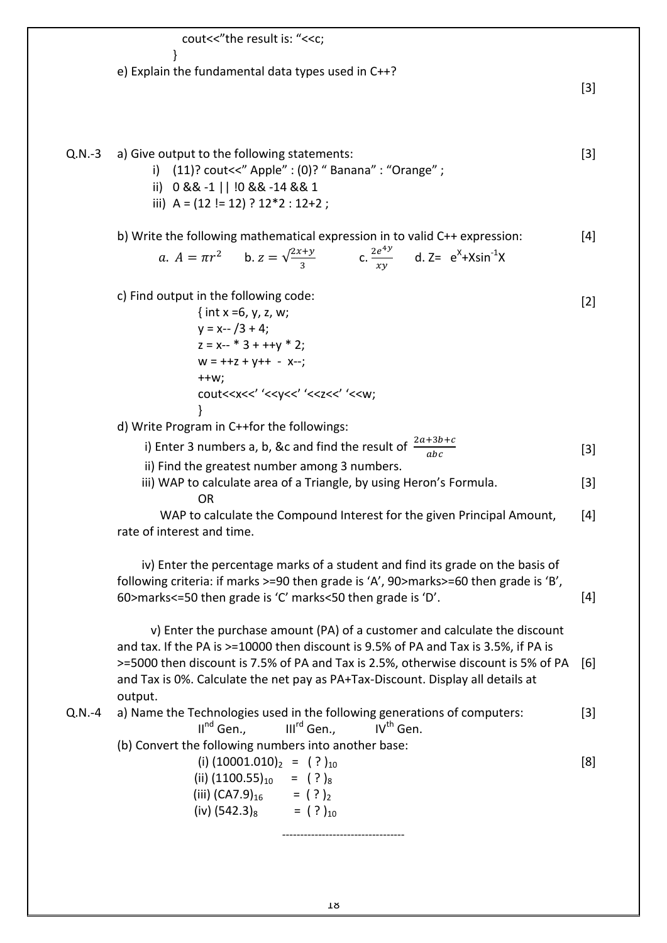cout<<"the result is: "<<c; } e) Explain the fundamental data types used in C++? [3] Q.N.-3 a) Give output to the following statements: i) (11)? cout<<" Apple" : (0)? " Banana" : "Orange" ; ii) 0 && -1 || !0 && -14 && 1 iii) A = (12 != 12) ? 12\*2 : 12+2 ; b) Write the following mathematical expression in to valid C++ expression: a.  $A = \pi r^2$  b.  $z = \sqrt{2}$  $rac{z+y}{3}$  c.  $rac{2e^4}{xy}$  $\frac{e^{4y}}{xy}$  d. Z=  $e^{x}+X\sin^{-1}X$ c) Find output in the following code: { int x =6, y, z, w;  $y = x - 73 + 4$ ;  $z = x-- * 3 + ++y * 2;$  $W = ++z + y++ - x--;$  $++w;$ cout<<x<<' '<<y<<' '<<z<<' '<<w; } d) Write Program in C++for the followings: i) Enter 3 numbers a, b, &c and find the result of  $\frac{2a+3b+c}{abc}$  ii) Find the greatest number among 3 numbers. iii) WAP to calculate area of a Triangle, by using Heron's Formula. OR WAP to calculate the Compound Interest for the given Principal Amount, rate of interest and time. iv) Enter the percentage marks of a student and find its grade on the basis of following criteria: if marks >=90 then grade is 'A', 90>marks>=60 then grade is 'B', 60>marks<=50 then grade is 'C' marks<50 then grade is 'D'. v) Enter the purchase amount (PA) of a customer and calculate the discount and tax. If the PA is >=10000 then discount is 9.5% of PA and Tax is 3.5%, if PA is >=5000 then discount is 7.5% of PA and Tax is 2.5%, otherwise discount is 5% of PA and Tax is 0%. Calculate the net pay as PA+Tax-Discount. Display all details at output. [3] [4] [2] [3] [3] [4] [4] [6] Q.N.-4 a) Name the Technologies used in the following generations of computers:  $II^{nd}$  Gen.,  $III^{rd}$  Gen.,  $IV^{th}$  Gen. (b) Convert the following numbers into another base: (i)  $(10001.010)_2 =$  (?)<sub>10</sub> (ii)  $(1100.55)_{10}$  =  $(?)_8$ (iii)  $(CA7.9)_{16}$  = (?)<sub>2</sub>  $(iv)$  (542.3)<sub>8</sub> = (?)<sub>10</sub> ---------------------------------- [3] [8]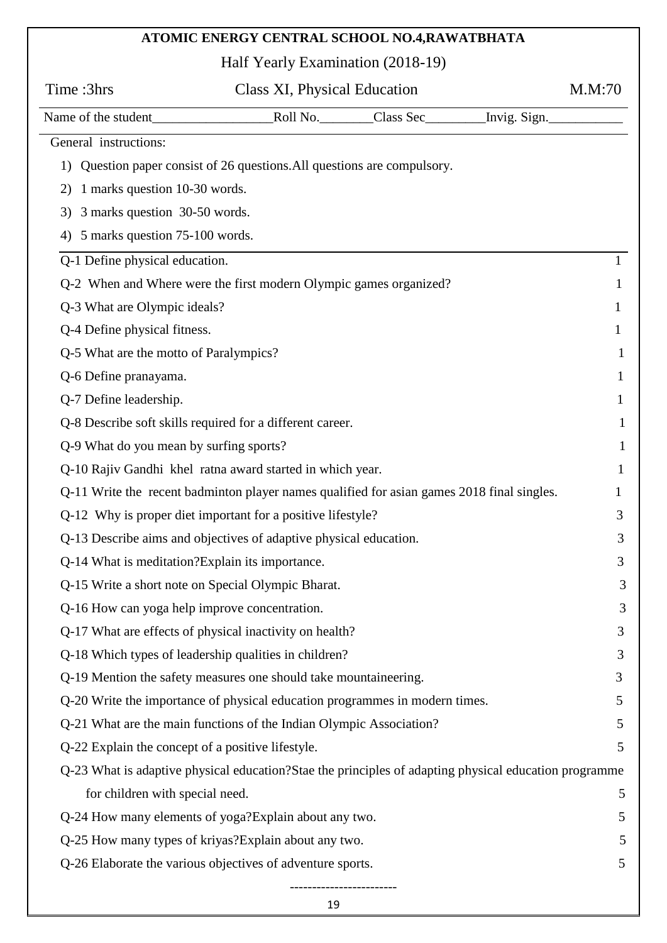# **ATOMIC ENERGY CENTRAL SCHOOL NO.4,RAWATBHATA**

Half Yearly Examination (2018-19)

| Time:3hrs                                                                                              | Class XI, Physical Education |  | M.M:70 |          |
|--------------------------------------------------------------------------------------------------------|------------------------------|--|--------|----------|
|                                                                                                        |                              |  |        |          |
| General instructions:                                                                                  |                              |  |        |          |
| 1) Question paper consist of 26 questions. All questions are compulsory.                               |                              |  |        |          |
| 1 marks question 10-30 words.<br>2)                                                                    |                              |  |        |          |
| 3 marks question 30-50 words.<br>3)                                                                    |                              |  |        |          |
| 4) 5 marks question 75-100 words.                                                                      |                              |  |        |          |
| Q-1 Define physical education.                                                                         |                              |  |        |          |
| Q-2 When and Where were the first modern Olympic games organized?                                      |                              |  |        | 1        |
| Q-3 What are Olympic ideals?                                                                           |                              |  |        | 1        |
| Q-4 Define physical fitness.                                                                           |                              |  |        | 1        |
| Q-5 What are the motto of Paralympics?                                                                 |                              |  |        | 1        |
| Q-6 Define pranayama.                                                                                  |                              |  |        | 1        |
| Q-7 Define leadership.                                                                                 |                              |  |        | 1        |
| Q-8 Describe soft skills required for a different career.                                              |                              |  |        | $\bf{l}$ |
| Q-9 What do you mean by surfing sports?                                                                |                              |  |        | 1        |
| Q-10 Rajiv Gandhi khel ratna award started in which year.                                              |                              |  |        | 1        |
| Q-11 Write the recent badminton player names qualified for asian games 2018 final singles.             |                              |  |        | 1        |
| Q-12 Why is proper diet important for a positive lifestyle?                                            |                              |  |        | 3        |
| Q-13 Describe aims and objectives of adaptive physical education.                                      |                              |  |        | 3        |
| Q-14 What is meditation? Explain its importance.                                                       |                              |  |        | 3        |
| Q-15 Write a short note on Special Olympic Bharat.                                                     |                              |  |        | 3        |
| Q-16 How can yoga help improve concentration.                                                          |                              |  |        | 3        |
| Q-17 What are effects of physical inactivity on health?                                                |                              |  |        | 3        |
| Q-18 Which types of leadership qualities in children?                                                  |                              |  |        | 3        |
| Q-19 Mention the safety measures one should take mountaineering.                                       |                              |  |        | 3        |
| Q-20 Write the importance of physical education programmes in modern times.                            |                              |  |        | 5        |
| Q-21 What are the main functions of the Indian Olympic Association?                                    |                              |  |        | 5        |
| Q-22 Explain the concept of a positive lifestyle.                                                      |                              |  |        | 5        |
| Q-23 What is adaptive physical education? Stae the principles of adapting physical education programme |                              |  |        |          |
| for children with special need.                                                                        |                              |  |        | 5        |
| Q-24 How many elements of yoga? Explain about any two.                                                 |                              |  |        | 5        |
| Q-25 How many types of kriyas? Explain about any two.                                                  |                              |  |        | 5        |
| Q-26 Elaborate the various objectives of adventure sports.                                             |                              |  |        | 5        |
|                                                                                                        |                              |  |        |          |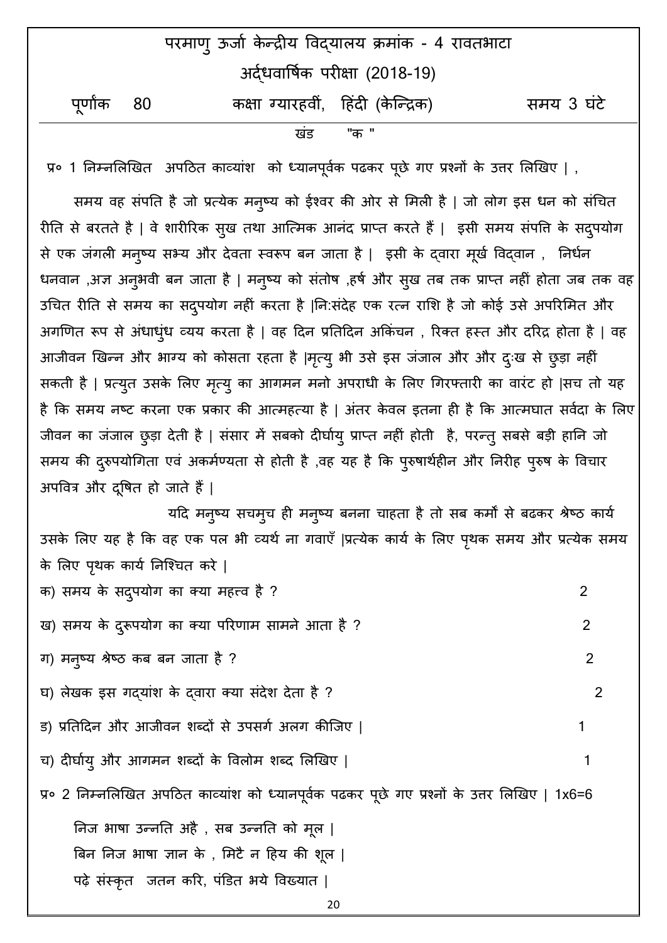| परमाण् ऊर्जा केन्द्रीय विद्यालय क्रमांक - 4 रावतभाटा |  |                                     |            |  |
|------------------------------------------------------|--|-------------------------------------|------------|--|
|                                                      |  | अर्दधवार्षिक परीक्षा (2018-19)      |            |  |
| पूर्णांक 80                                          |  | कक्षा ग्यारहवीं,  हिंदी (केन्द्रिक) | समय 3 घंटे |  |
|                                                      |  | "क "<br>खड                          |            |  |

प्र० 1 निम्नलिखित अपठित काव्यांश को ध्यानपूर्वक पढकर पूछे गए प्रश्नों के उत्तर लिखिए | ,

समय वह संपति है जो प्रत्येक मनुष्य को ईश्वर की ओर से मिली है | जो लोग इस धन को संचित रीति से बरतते है | वे शारीरिक सुख तथा आत्मिक आनंद प्राप्त करते हैं | इसी समय संपत्ति के सदुपयोग से एक जंगली मनुष्य सभ्य और देवता स्वरूप बन जाता है | इसी के द्वारा मूर्ख विद्वान , निर्धन धनवान ,अज्ञ अनुभवी बन जाता है | मनुष्य को संतोष ,हर्ष और सुख तब तक प्राप्त नहीं होता जब तक वह उचित रीति से समय का सदुपयोग नहीं करता है |नि:संदेह एक रत्न राशि है जो कोई उसे अपरिमित और अगणित रूप से अंधाध्ंध व्यय करता है | वह दिन प्रतिदिन अकिंचन , रिक्त हस्त और दरिद्र होता है | वह आजीवन खिन्न और भाग्य को कोसता रहता है |मृत्यु भी उसे इस जंजाल और और दुःख से छुड़ा नहीं सकती है | प्रत्युत उसके लिए मृत्यु का आगमन मनो अपराधी के लिए गिरफ्तारी का वारंट हो |सच तो यह है कि समय नष्ट करना एक प्रकार की आत्महत्या है | अंतर केवल इतना ही है कि आत्मघात सर्वदा के लिए जीवन का जंजाल छुड़ा देती है | संसार में सबको दीर्घाय् प्राप्त नहीं होती है, परन्तु सबसे बड़ी हानि जो समय की दुरुपयोगिता एवं अकर्मण्यता से होती है ,वह यह है कि पुरुषार्थहीन और निरीह पुरुष के विचार अपवित्र और दुषित हो जाते हैं |

यदि मनुष्य सचमुच ही मनुष्य बनना चाहता है तो सब कर्मों से बढकर श्रेष्ठ कार्य उसके लिए यह है कि वह एक पल भी व्यर्थ ना गवाएँ |प्रत्येक कार्य के लिए पृथक समय और प्रत्येक समय के लिए पृथक कार्य निश्चित करे |

क) सभम के सदऩुमोग का क्मा भहत्त्ि है? 2 ख) सभम के दरूुऩमोग का क्मा ऩरयणाभ साभने आता है ? 2 ग) भनुष्म श्रेष्ि कफ फन र्ाता है ? 2 घ) रेखक इस गद्माॊश के द्िाया क्मा सॊदेश देता है ? 2 ड) प्रनतहदन औय आर् िन शब्दों से उऩसगा अरग कीन्द्र्ए | 1 च) दीर्घाय् और आगमन शब्दों के विलोम शब्द लिखिए | 1 1 अपने अपने अपने अपने अपने अपने प्र प्र० 2 निम्नलिखित अपठित काव्यांश को ध्यानपूर्वक पढकर पूछे गए प्रश्नों के उत्तर लिखिए | 1x6=6 ननर् बाषा उन्द्ननत अहै , सफ उन्द्ननत को भूर | बिन निज भाषा ज्ञान के, मिटै न हिय की शूल | पढ़े संस्कृत जतन करि, पंडित भये विख्यात |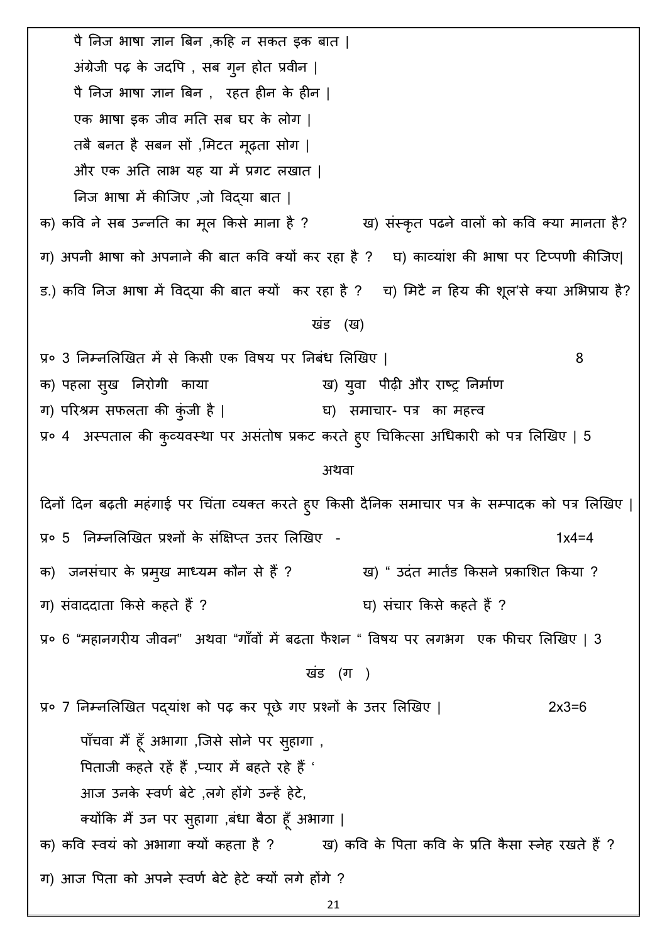पै निज भाषा ज्ञान बिन ,कहि न सकत इक बात | अंग्रेजी पढ़ के जदपि , सब गून होत प्रवीन | पै निज भाषा ज्ञान बिन , रहत हीन के हीन | एक भाषा इक जीव मति सब घर के लोग | तबै बनत है सबन सों ,मिटत मूढ़ता सोग | और एक अति लाभ यह या में प्रगट लखात | निज भाषा में कीजिए ,जो विद्या बात | क) कवि ने सब उन्नति का मूल किसे माना है ? ख) संस्कृत पढने वालों को कवि क्या मानता है? ग) अपनी भाषा को अपनाने की बात कवि क्यों कर रहा है ? घ) काव्यांश की भाषा पर टिप्पणी कीजिए| ड.) कवि निज भाषा में विद्या की बात क्यों कर रहा है ? व) मिटै न हिय की शूल'से क्या अभिप्राय है? खंड (ख) प्र० 3 निम्नलिखित में से किसी एक विषय पर निबंध लिखिए | 8 क) पहला सुख निरोगी काया हिंसा बाद बाद आ ख) युवा पीढ़ी और राष्ट्र निर्माण ग) परिश्रम सफलता की कुंजी है | घ) समाचार- पत्र का महत्त्व प्र० 4 अस्पताल की कुव्यवस्था पर असंतोष प्रकट करते हुए चिकित्सा अधिकारी को पत्र लिखिए | 5 अथवा दिनों दिन बढ़ती महंगाई पर चिंता व्यक्त करते हुए किसी दैनिक समाचार पत्र के सम्पादक को पत्र लिखिए | प्र० 5 निम्नलिखित प्रश्नों के संक्षिप्त उत्तर लिखिए - 1x4=4 क) जनसंचार के प्रमुख माध्यम कौन से हैं ? ख) " उदंत मार्तड किसने प्रकाशित किया ? ग) संवाददाता किसे कहते हैं ? घ) संचार किसे कहते हैं ? प्र० 6 "महानगरीय जीवन" अथवा "गाँवों में बढता फैशन " विषय पर लगभग एक फीचर लिखिए | 3 खंड (ग) प्र० 7 निम्नलिखित पद्यांश को पढ़ कर पूछे गए प्रश्नों के उत्तर लिखिए | 2x3=6 पाँचवा मैं हूँ अभागा ,जिसे सोने पर सुहागा , पिताजी कहते रहें हैं ,प्यार में बहते रहे हैं ' आज उनके स्वर्ण बेटे ,लगे होंगे उन्हें हेटे, क्योंकि मैं उन पर सुहागा ,बंधा बैठा हूँ अभागा | क) कवि स्वयं को अभागा क्यों कहता है ? ख) कवि के पिता कवि के प्रति कैसा स्नेह रखते हैं ? ग) आज पिता को अपने स्वर्ण बेटे हेटे क्यों लगे होंगे ?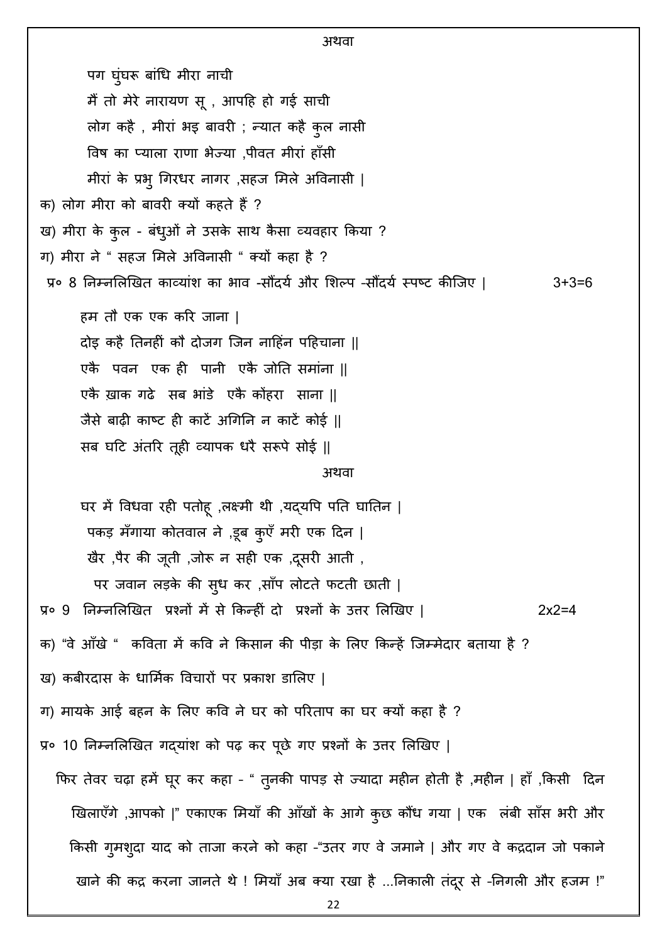22 अथवा पग घुंघरू बांधि मीरा नाची मैं तो मेरे नारायण सू , आपहि हो गई साची लोग कहै , मीरां भइ बावरी ; न्यात कहै कुल नासी विष का प्याला राणा भेज्या ,पीवत मीरां हाँसी मीरां के प्रभु गिरधर नागर ,सहज मिले अविनासी | क) लोग मीरा को बावरी क्यों कहते हैं ? ख) मीरा के कुल - बंधुओं ने उसके साथ कैसा व्यवहार किया ? ग) मीरा ने " सहज मिले अविनासी " क्यों कहा है ? प्र० 8 निम्नलिखित काव्यांश का भाव -सौंदर्य और शिल्प -सौंदर्य स्पष्ट कीजिए | 3+3=6 हम तौ एक एक करि जाना | दोइ कहै तिनहीं कौ दोजग जिन नाहिंन पहिचाना || एकै पवन एक ही पानी एकै जोति समांना || एकै ख़ाक गढे सब भांडे एकै कोंहरा साना || र्ैसे फाढ़ी काष्ट ही काटें अचगनन न काटें कोई || सब घटि अंतरि तूही व्यापक धरै सरूपे सोई || अथिा घर में विधवा रही पतोह़ ,लक्ष्मी थी ,यद्यपि पति घातिन | पकड़ मँगाया कोतवाल ने ,डूब कुएँ मरी एक दिन | खैर ,पैर की जूती ,जोरू न सही एक ,दूसरी आती , पर जवान लड़के की सुध कर ,साँप लोटते फटती छाती | प्र० 9 ननम्नलरखखत प्रश्नों भें से ककन्द्हीॊ दो प्रश्नों के उत्तय लरखखए | 2x2=4 क) "वे आँखे " कविता में कवि ने किसान की पीड़ा के लिए किन्हें जिम्मेदार बताया है ? ख) कबीरदास के धार्मिक विचारों पर प्रकाश डालिए | ग) मायके आई बहन के लिए कवि ने घर को परिताप का घर क्यों कहा है ? प्र० 10 निम्नलिखित गद्यांश को पढ़ कर पूछे गए प्रश्नों के उत्तर लिखिए | फिर तेवर चढ़ा हमें घूर कर कहा - " तुनकी पापड़ से ज्यादा महीन होती है ,महीन | हाँ ,किसी दिन खिलाएँगे ,आपको |" एकाएक मियाँ की आँखों के आगे कुछ कौंध गया | एक लंबी साँस भरी और किसी गुमशुदा याद को ताजा करने को कहा -"उतर गए वे जमाने | और गए वे कद्रदान जो पकाने खाने की कद्र करना जानते थे ! मियाँ अब क्या रखा है ...निकाली तंदूर से -निगली और हजम !"